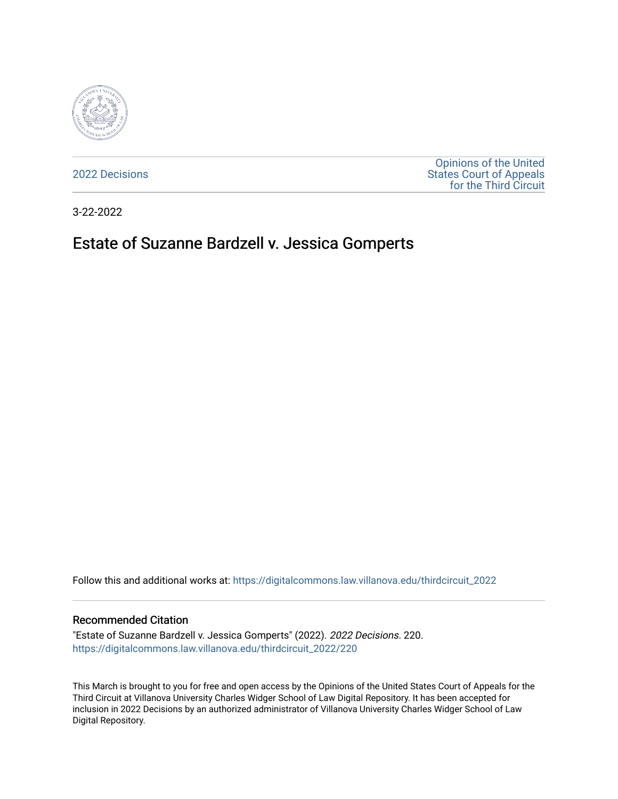

[2022 Decisions](https://digitalcommons.law.villanova.edu/thirdcircuit_2022)

[Opinions of the United](https://digitalcommons.law.villanova.edu/thirdcircuit)  [States Court of Appeals](https://digitalcommons.law.villanova.edu/thirdcircuit)  [for the Third Circuit](https://digitalcommons.law.villanova.edu/thirdcircuit) 

3-22-2022

# Estate of Suzanne Bardzell v. Jessica Gomperts

Follow this and additional works at: [https://digitalcommons.law.villanova.edu/thirdcircuit\\_2022](https://digitalcommons.law.villanova.edu/thirdcircuit_2022?utm_source=digitalcommons.law.villanova.edu%2Fthirdcircuit_2022%2F220&utm_medium=PDF&utm_campaign=PDFCoverPages) 

#### Recommended Citation

"Estate of Suzanne Bardzell v. Jessica Gomperts" (2022). 2022 Decisions. 220. [https://digitalcommons.law.villanova.edu/thirdcircuit\\_2022/220](https://digitalcommons.law.villanova.edu/thirdcircuit_2022/220?utm_source=digitalcommons.law.villanova.edu%2Fthirdcircuit_2022%2F220&utm_medium=PDF&utm_campaign=PDFCoverPages)

This March is brought to you for free and open access by the Opinions of the United States Court of Appeals for the Third Circuit at Villanova University Charles Widger School of Law Digital Repository. It has been accepted for inclusion in 2022 Decisions by an authorized administrator of Villanova University Charles Widger School of Law Digital Repository.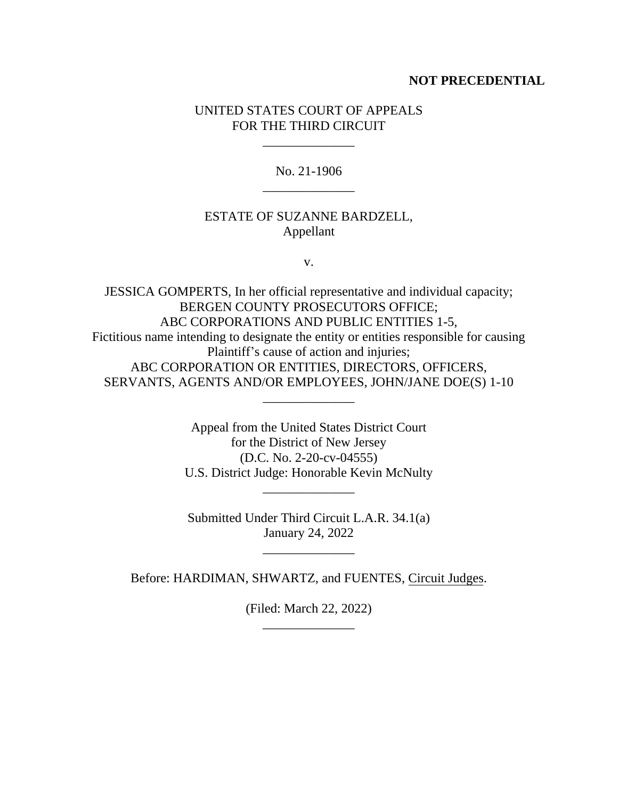### **NOT PRECEDENTIAL**

### UNITED STATES COURT OF APPEALS FOR THE THIRD CIRCUIT

\_\_\_\_\_\_\_\_\_\_\_\_\_\_

No. 21-1906 \_\_\_\_\_\_\_\_\_\_\_\_\_\_

#### ESTATE OF SUZANNE BARDZELL, Appellant

v.

JESSICA GOMPERTS, In her official representative and individual capacity; BERGEN COUNTY PROSECUTORS OFFICE; ABC CORPORATIONS AND PUBLIC ENTITIES 1-5, Fictitious name intending to designate the entity or entities responsible for causing Plaintiff's cause of action and injuries; ABC CORPORATION OR ENTITIES, DIRECTORS, OFFICERS, SERVANTS, AGENTS AND/OR EMPLOYEES, JOHN/JANE DOE(S) 1-10 \_\_\_\_\_\_\_\_\_\_\_\_\_\_

> Appeal from the United States District Court for the District of New Jersey (D.C. No. 2-20-cv-04555) U.S. District Judge: Honorable Kevin McNulty

Submitted Under Third Circuit L.A.R. 34.1(a) January 24, 2022

\_\_\_\_\_\_\_\_\_\_\_\_\_\_

\_\_\_\_\_\_\_\_\_\_\_\_\_\_

Before: HARDIMAN, SHWARTZ, and FUENTES, Circuit Judges.

(Filed: March 22, 2022) \_\_\_\_\_\_\_\_\_\_\_\_\_\_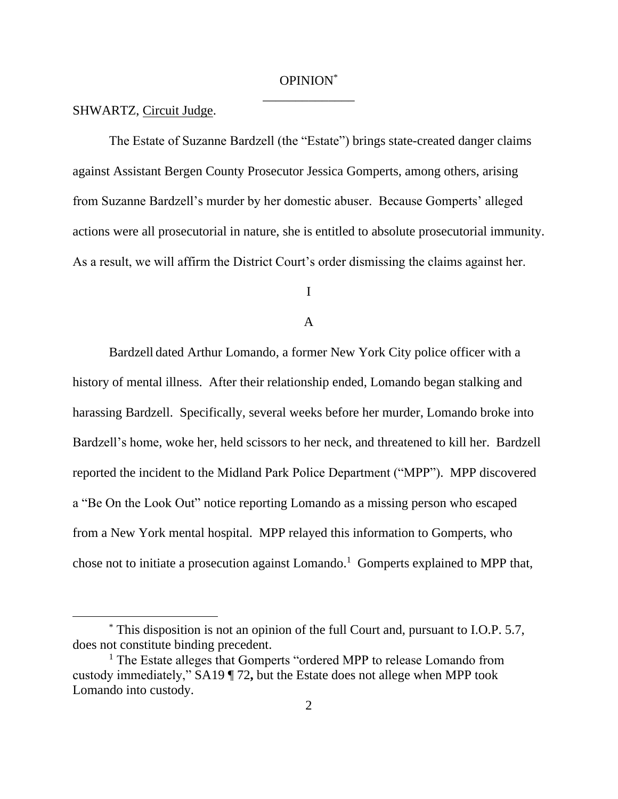## OPINION\* \_\_\_\_\_\_\_\_\_\_\_\_\_\_

#### SHWARTZ, Circuit Judge.

The Estate of Suzanne Bardzell (the "Estate") brings state-created danger claims against Assistant Bergen County Prosecutor Jessica Gomperts, among others, arising from Suzanne Bardzell's murder by her domestic abuser. Because Gomperts' alleged actions were all prosecutorial in nature, she is entitled to absolute prosecutorial immunity. As a result, we will affirm the District Court's order dismissing the claims against her.

I

#### A

Bardzell dated Arthur Lomando, a former New York City police officer with a history of mental illness. After their relationship ended, Lomando began stalking and harassing Bardzell. Specifically, several weeks before her murder, Lomando broke into Bardzell's home, woke her, held scissors to her neck, and threatened to kill her. Bardzell reported the incident to the Midland Park Police Department ("MPP"). MPP discovered a "Be On the Look Out" notice reporting Lomando as a missing person who escaped from a New York mental hospital. MPP relayed this information to Gomperts, who chose not to initiate a prosecution against Lomando.<sup>1</sup> Gomperts explained to MPP that,

<sup>\*</sup> This disposition is not an opinion of the full Court and, pursuant to I.O.P. 5.7, does not constitute binding precedent.

<sup>&</sup>lt;sup>1</sup> The Estate alleges that Gomperts "ordered MPP to release Lomando from custody immediately," SA19 ¶ 72**,** but the Estate does not allege when MPP took Lomando into custody.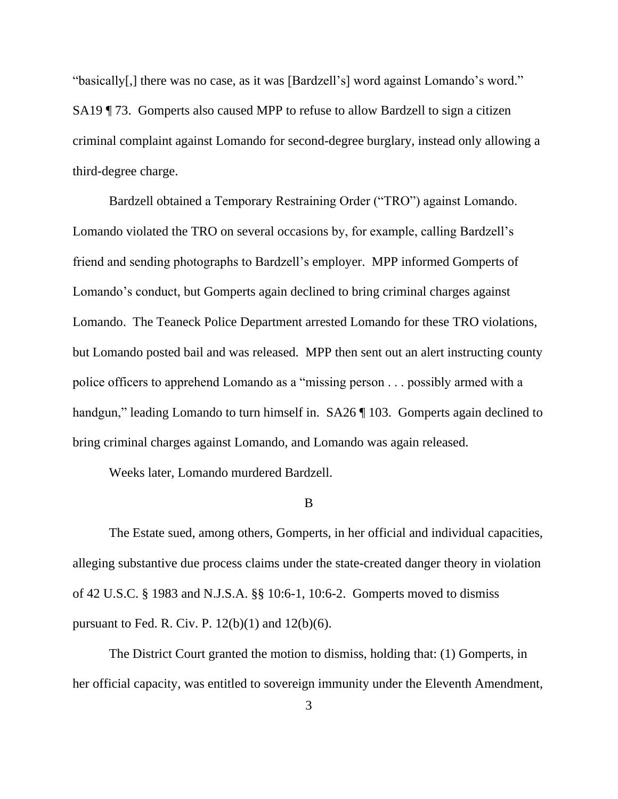"basically[,] there was no case, as it was [Bardzell's] word against Lomando's word." SA19 ¶ 73. Gomperts also caused MPP to refuse to allow Bardzell to sign a citizen criminal complaint against Lomando for second-degree burglary, instead only allowing a third-degree charge.

Bardzell obtained a Temporary Restraining Order ("TRO") against Lomando. Lomando violated the TRO on several occasions by, for example, calling Bardzell's friend and sending photographs to Bardzell's employer. MPP informed Gomperts of Lomando's conduct, but Gomperts again declined to bring criminal charges against Lomando. The Teaneck Police Department arrested Lomando for these TRO violations, but Lomando posted bail and was released. MPP then sent out an alert instructing county police officers to apprehend Lomando as a "missing person . . . possibly armed with a handgun," leading Lomando to turn himself in. SA26 | 103. Gomperts again declined to bring criminal charges against Lomando, and Lomando was again released.

Weeks later, Lomando murdered Bardzell.

#### B

The Estate sued, among others, Gomperts, in her official and individual capacities, alleging substantive due process claims under the state-created danger theory in violation of 42 U.S.C. § 1983 and N.J.S.A. §§ 10:6-1, 10:6-2. Gomperts moved to dismiss pursuant to Fed. R. Civ. P.  $12(b)(1)$  and  $12(b)(6)$ .

The District Court granted the motion to dismiss, holding that: (1) Gomperts, in her official capacity, was entitled to sovereign immunity under the Eleventh Amendment,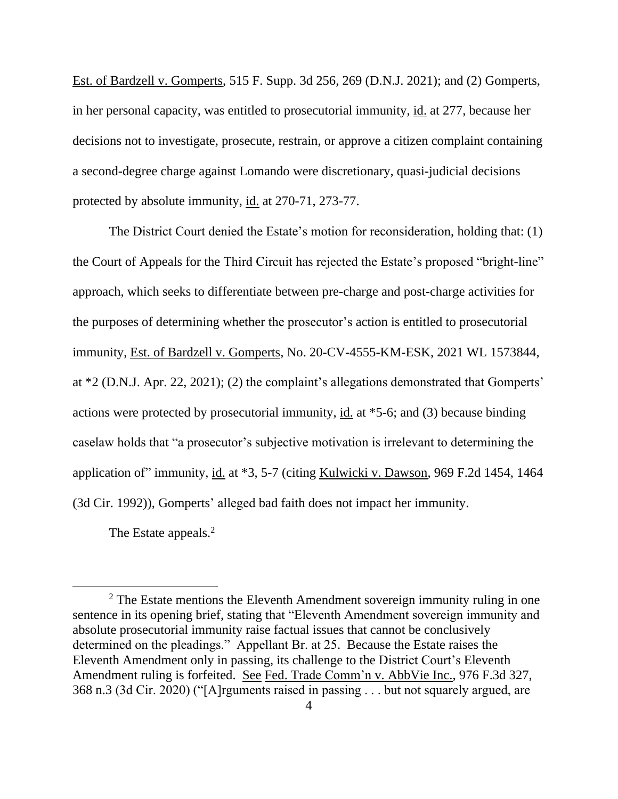Est. of Bardzell v. Gomperts, 515 F. Supp. 3d 256, 269 (D.N.J. 2021); and (2) Gomperts, in her personal capacity, was entitled to prosecutorial immunity, id. at 277, because her decisions not to investigate, prosecute, restrain, or approve a citizen complaint containing a second-degree charge against Lomando were discretionary, quasi-judicial decisions protected by absolute immunity, id. at 270-71, 273-77.

The District Court denied the Estate's motion for reconsideration, holding that: (1) the Court of Appeals for the Third Circuit has rejected the Estate's proposed "bright-line" approach, which seeks to differentiate between pre-charge and post-charge activities for the purposes of determining whether the prosecutor's action is entitled to prosecutorial immunity, Est. of Bardzell v. Gomperts, No. 20-CV-4555-KM-ESK, 2021 WL 1573844, at \*2 (D.N.J. Apr. 22, 2021); (2) the complaint's allegations demonstrated that Gomperts' actions were protected by prosecutorial immunity, id. at \*5-6; and (3) because binding caselaw holds that "a prosecutor's subjective motivation is irrelevant to determining the application of" immunity, id. at \*3, 5-7 (citing Kulwicki v. Dawson, 969 F.2d 1454, 1464 (3d Cir. 1992)), Gomperts' alleged bad faith does not impact her immunity.

The Estate appeals.<sup>2</sup>

 $2$  The Estate mentions the Eleventh Amendment sovereign immunity ruling in one sentence in its opening brief, stating that "Eleventh Amendment sovereign immunity and absolute prosecutorial immunity raise factual issues that cannot be conclusively determined on the pleadings." Appellant Br. at 25. Because the Estate raises the Eleventh Amendment only in passing, its challenge to the District Court's Eleventh Amendment ruling is forfeited. See Fed. Trade Comm'n v. AbbVie Inc., 976 F.3d 327, 368 n.3 (3d Cir. 2020) ("[A]rguments raised in passing . . . but not squarely argued, are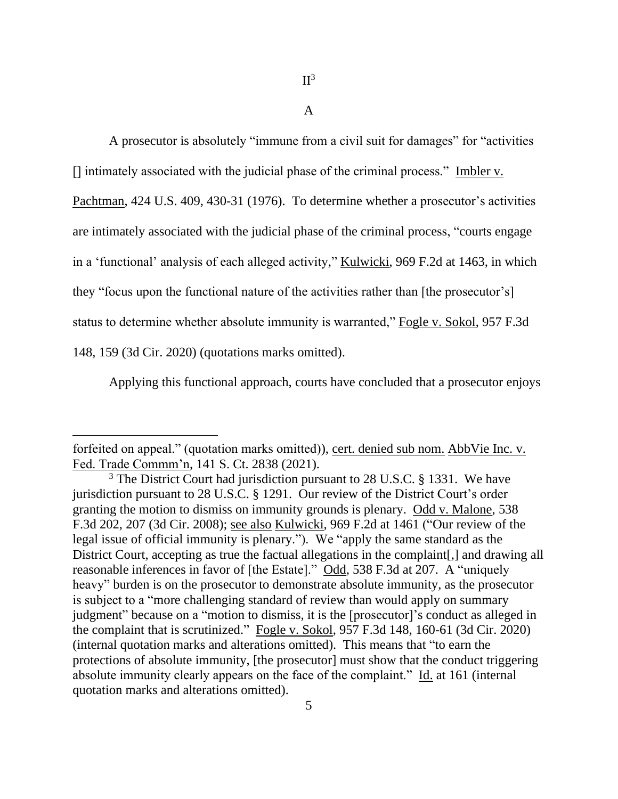A

A prosecutor is absolutely "immune from a civil suit for damages" for "activities [] intimately associated with the judicial phase of the criminal process." Imbler v.

Pachtman, 424 U.S. 409, 430-31 (1976). To determine whether a prosecutor's activities

are intimately associated with the judicial phase of the criminal process, "courts engage

in a 'functional' analysis of each alleged activity," Kulwicki, 969 F.2d at 1463, in which

they "focus upon the functional nature of the activities rather than [the prosecutor's]

status to determine whether absolute immunity is warranted," Fogle v. Sokol, 957 F.3d

148, 159 (3d Cir. 2020) (quotations marks omitted).

Applying this functional approach, courts have concluded that a prosecutor enjoys

forfeited on appeal." (quotation marks omitted)), cert. denied sub nom. AbbVie Inc. v. Fed. Trade Commm'n, 141 S. Ct. 2838 (2021).

<sup>&</sup>lt;sup>3</sup> The District Court had jurisdiction pursuant to 28 U.S.C. § 1331. We have jurisdiction pursuant to 28 U.S.C. § 1291. Our review of the District Court's order granting the motion to dismiss on immunity grounds is plenary. Odd v. Malone, 538 F.3d 202, 207 (3d Cir. 2008); see also Kulwicki, 969 F.2d at 1461 ("Our review of the legal issue of official immunity is plenary."). We "apply the same standard as the District Court, accepting as true the factual allegations in the complaint. and drawing all reasonable inferences in favor of [the Estate]." Odd, 538 F.3d at 207. A "uniquely heavy" burden is on the prosecutor to demonstrate absolute immunity, as the prosecutor is subject to a "more challenging standard of review than would apply on summary judgment" because on a "motion to dismiss, it is the [prosecutor]'s conduct as alleged in the complaint that is scrutinized." Fogle v. Sokol, 957 F.3d 148, 160-61 (3d Cir. 2020) (internal quotation marks and alterations omitted). This means that "to earn the protections of absolute immunity, [the prosecutor] must show that the conduct triggering absolute immunity clearly appears on the face of the complaint." Id. at 161 (internal quotation marks and alterations omitted).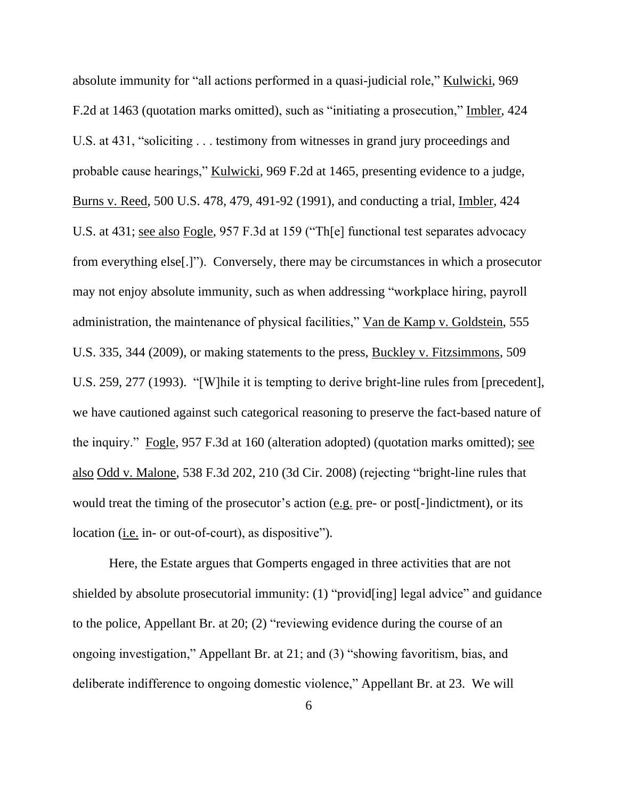absolute immunity for "all actions performed in a quasi-judicial role," Kulwicki, 969 F.2d at 1463 (quotation marks omitted), such as "initiating a prosecution," Imbler, 424 U.S. at 431, "soliciting . . . testimony from witnesses in grand jury proceedings and probable cause hearings," Kulwicki, 969 F.2d at 1465, presenting evidence to a judge, Burns v. Reed, 500 U.S. 478, 479, 491-92 (1991), and conducting a trial, Imbler, 424 U.S. at 431; see also Fogle, 957 F.3d at 159 ("Th[e] functional test separates advocacy from everything else[.]"). Conversely, there may be circumstances in which a prosecutor may not enjoy absolute immunity, such as when addressing "workplace hiring, payroll administration, the maintenance of physical facilities," Van de Kamp v. Goldstein, 555 U.S. 335, 344 (2009), or making statements to the press, Buckley v. Fitzsimmons, 509 U.S. 259, 277 (1993). "[W]hile it is tempting to derive bright-line rules from [precedent], we have cautioned against such categorical reasoning to preserve the fact-based nature of the inquiry." Fogle, 957 F.3d at 160 (alteration adopted) (quotation marks omitted); see also Odd v. Malone, 538 F.3d 202, 210 (3d Cir. 2008) (rejecting "bright-line rules that would treat the timing of the prosecutor's action (e.g. pre- or post[-]indictment), or its location (i.e. in- or out-of-court), as dispositive").

Here, the Estate argues that Gomperts engaged in three activities that are not shielded by absolute prosecutorial immunity: (1) "provid[ing] legal advice" and guidance to the police, Appellant Br. at 20; (2) "reviewing evidence during the course of an ongoing investigation," Appellant Br. at 21; and (3) "showing favoritism, bias, and deliberate indifference to ongoing domestic violence," Appellant Br. at 23. We will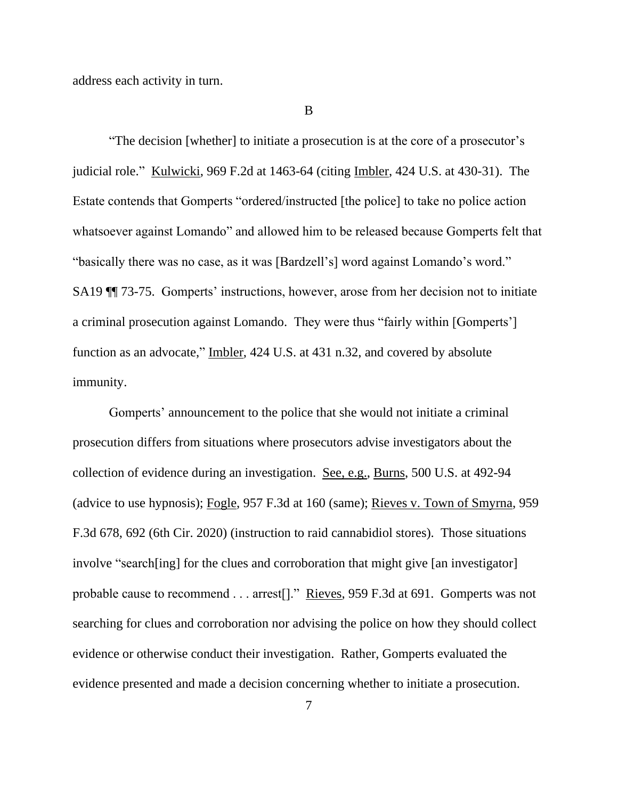address each activity in turn.

B

"The decision [whether] to initiate a prosecution is at the core of a prosecutor's judicial role." Kulwicki, 969 F.2d at 1463-64 (citing Imbler, 424 U.S. at 430-31). The Estate contends that Gomperts "ordered/instructed [the police] to take no police action whatsoever against Lomando" and allowed him to be released because Gomperts felt that "basically there was no case, as it was [Bardzell's] word against Lomando's word." SA19 ¶¶ 73-75. Gomperts' instructions, however, arose from her decision not to initiate a criminal prosecution against Lomando. They were thus "fairly within [Gomperts'] function as an advocate," Imbler, 424 U.S. at 431 n.32, and covered by absolute immunity.

Gomperts' announcement to the police that she would not initiate a criminal prosecution differs from situations where prosecutors advise investigators about the collection of evidence during an investigation. See, e.g., Burns, 500 U.S. at 492-94 (advice to use hypnosis); Fogle, 957 F.3d at 160 (same); Rieves v. Town of Smyrna, 959 F.3d 678, 692 (6th Cir. 2020) (instruction to raid cannabidiol stores). Those situations involve "search[ing] for the clues and corroboration that might give [an investigator] probable cause to recommend . . . arrest[]." Rieves, 959 F.3d at 691. Gomperts was not searching for clues and corroboration nor advising the police on how they should collect evidence or otherwise conduct their investigation. Rather, Gomperts evaluated the evidence presented and made a decision concerning whether to initiate a prosecution.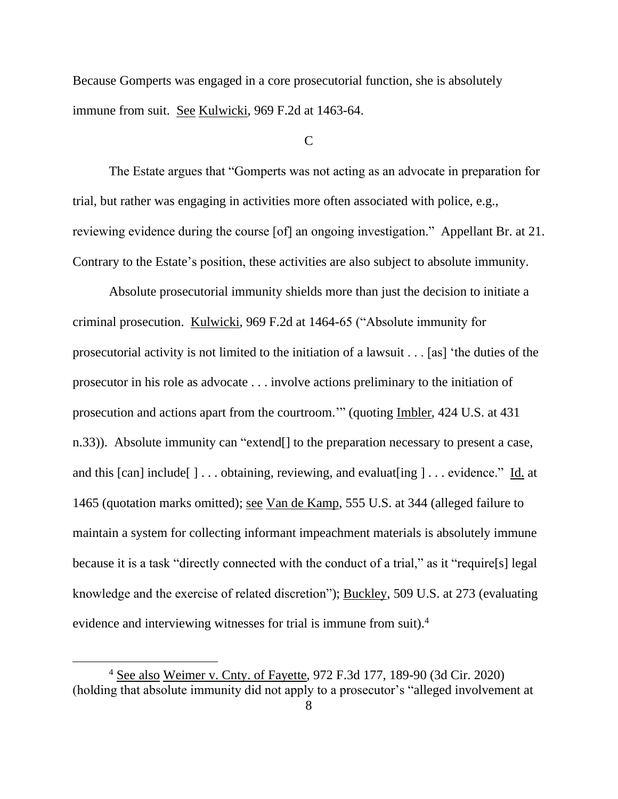Because Gomperts was engaged in a core prosecutorial function, she is absolutely immune from suit. See Kulwicki, 969 F.2d at 1463-64.

 $\mathcal{C}$ 

The Estate argues that "Gomperts was not acting as an advocate in preparation for trial, but rather was engaging in activities more often associated with police, e.g., reviewing evidence during the course [of] an ongoing investigation." Appellant Br. at 21. Contrary to the Estate's position, these activities are also subject to absolute immunity.

Absolute prosecutorial immunity shields more than just the decision to initiate a criminal prosecution. Kulwicki, 969 F.2d at 1464-65 ("Absolute immunity for prosecutorial activity is not limited to the initiation of a lawsuit . . . [as] 'the duties of the prosecutor in his role as advocate . . . involve actions preliminary to the initiation of prosecution and actions apart from the courtroom.'" (quoting Imbler, 424 U.S. at 431 n.33)). Absolute immunity can "extend[] to the preparation necessary to present a case, and this [can] include[ ] . . . obtaining, reviewing, and evaluat[ing ] . . . evidence." Id. at 1465 (quotation marks omitted); see Van de Kamp, 555 U.S. at 344 (alleged failure to maintain a system for collecting informant impeachment materials is absolutely immune because it is a task "directly connected with the conduct of a trial," as it "require[s] legal knowledge and the exercise of related discretion"); Buckley, 509 U.S. at 273 (evaluating evidence and interviewing witnesses for trial is immune from suit).<sup>4</sup>

<sup>4</sup> See also Weimer v. Cnty. of Fayette, 972 F.3d 177, 189-90 (3d Cir. 2020) (holding that absolute immunity did not apply to a prosecutor's "alleged involvement at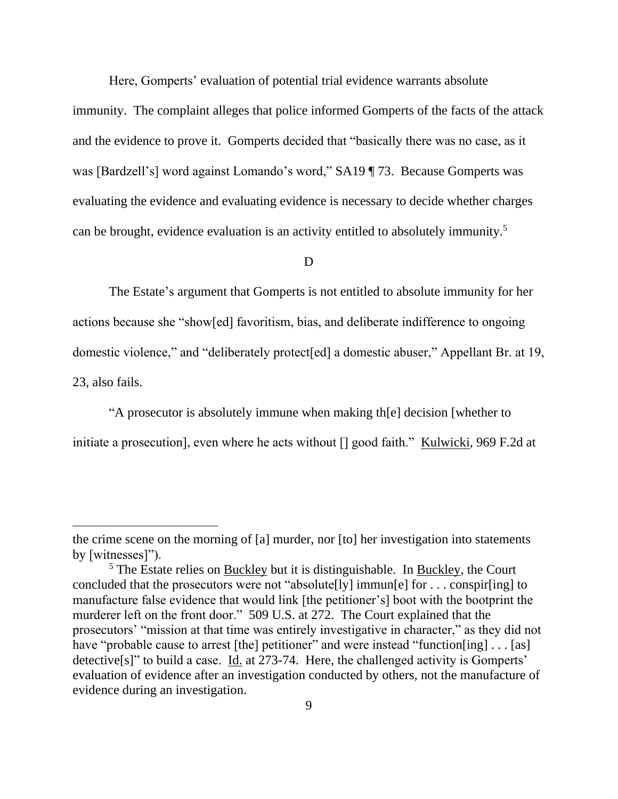Here, Gomperts' evaluation of potential trial evidence warrants absolute immunity. The complaint alleges that police informed Gomperts of the facts of the attack and the evidence to prove it. Gomperts decided that "basically there was no case, as it was [Bardzell's] word against Lomando's word," SA19 ¶ 73. Because Gomperts was evaluating the evidence and evaluating evidence is necessary to decide whether charges can be brought, evidence evaluation is an activity entitled to absolutely immunity.<sup>5</sup>

### D

The Estate's argument that Gomperts is not entitled to absolute immunity for her actions because she "show[ed] favoritism, bias, and deliberate indifference to ongoing domestic violence," and "deliberately protect[ed] a domestic abuser," Appellant Br. at 19, 23, also fails.

"A prosecutor is absolutely immune when making th[e] decision [whether to initiate a prosecution], even where he acts without [] good faith." Kulwicki, 969 F.2d at

the crime scene on the morning of [a] murder, nor [to] her investigation into statements by [witnesses]").

 $5$  The Estate relies on Buckley but it is distinguishable. In Buckley, the Court concluded that the prosecutors were not "absolute[ly] immun[e] for . . . conspir[ing] to manufacture false evidence that would link [the petitioner's] boot with the bootprint the murderer left on the front door." 509 U.S. at 272. The Court explained that the prosecutors' "mission at that time was entirely investigative in character," as they did not have "probable cause to arrest [the] petitioner" and were instead "function[ing] . . . [as] detective[s]" to build a case. Id. at 273-74. Here, the challenged activity is Gomperts' evaluation of evidence after an investigation conducted by others, not the manufacture of evidence during an investigation.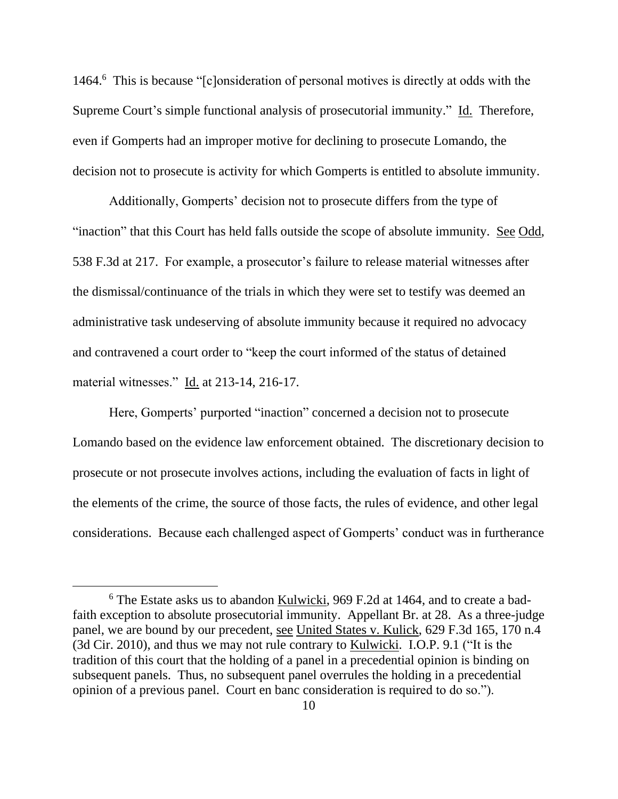1464.<sup>6</sup> This is because "[c]onsideration of personal motives is directly at odds with the Supreme Court's simple functional analysis of prosecutorial immunity." Id. Therefore, even if Gomperts had an improper motive for declining to prosecute Lomando, the decision not to prosecute is activity for which Gomperts is entitled to absolute immunity.

Additionally, Gomperts' decision not to prosecute differs from the type of "inaction" that this Court has held falls outside the scope of absolute immunity. See Odd, 538 F.3d at 217. For example, a prosecutor's failure to release material witnesses after the dismissal/continuance of the trials in which they were set to testify was deemed an administrative task undeserving of absolute immunity because it required no advocacy and contravened a court order to "keep the court informed of the status of detained material witnesses." Id. at 213-14, 216-17.

Here, Gomperts' purported "inaction" concerned a decision not to prosecute Lomando based on the evidence law enforcement obtained. The discretionary decision to prosecute or not prosecute involves actions, including the evaluation of facts in light of the elements of the crime, the source of those facts, the rules of evidence, and other legal considerations. Because each challenged aspect of Gomperts' conduct was in furtherance

<sup>6</sup> The Estate asks us to abandon Kulwicki, 969 F.2d at 1464, and to create a badfaith exception to absolute prosecutorial immunity. Appellant Br. at 28. As a three-judge panel, we are bound by our precedent, see United States v. Kulick, 629 F.3d 165, 170 n.4 (3d Cir. 2010), and thus we may not rule contrary to Kulwicki. I.O.P. 9.1 ("It is the tradition of this court that the holding of a panel in a precedential opinion is binding on subsequent panels. Thus, no subsequent panel overrules the holding in a precedential opinion of a previous panel. Court en banc consideration is required to do so.").